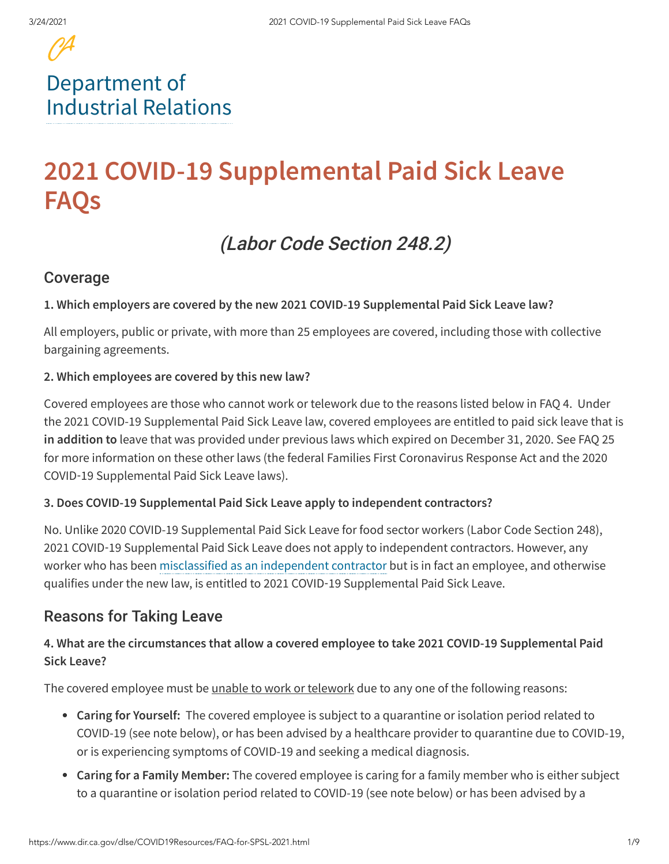# [Department](https://www.dir.ca.gov/) of Industrial Relations

# **2021 COVID-19 Supplemental Paid Sick Leave FAQs**

# (Labor Code Section 248.2)

## Coverage

#### **1. Which employers are covered by the new 2021 COVID-19 Supplemental Paid Sick Leave law?**

All employers, public or private, with more than 25 employees are covered, including those with collective bargaining agreements.

#### **2. Which employees are covered by this new law?**

Covered employees are those who cannot work or telework due to the reasons listed below in FAQ 4. Under the 2021 COVID-19 Supplemental Paid Sick Leave law, covered employees are entitled to paid sick leave that is **in addition to** leave that was provided under previous laws which expired on December 31, 2020. See FAQ 25 for more information on these other laws (the federal Families First Coronavirus Response Act and the 2020 COVID‑19 Supplemental Paid Sick Leave laws).

#### **3. Does COVID-19 Supplemental Paid Sick Leave apply to independent contractors?**

No. Unlike 2020 COVID-19 Supplemental Paid Sick Leave for food sector workers (Labor Code Section 248), 2021 COVID‑19 Supplemental Paid Sick Leave does not apply to independent contractors. However, any worker who has been [misclassified](https://www.dir.ca.gov/dlse/FAQ_IndependentContractor.htm) as an independent contractor but is in fact an employee, and otherwise qualifies under the new law, is entitled to 2021 COVID‑19 Supplemental Paid Sick Leave.

#### Reasons for Taking Leave

#### **4. What are the circumstances that allow a covered employee to take 2021 COVID-19 Supplemental Paid Sick Leave?**

The covered employee must be <u>unable to work or telework</u> due to any one of the following reasons:

- **Caring for Yourself:** The covered employee is subject to a quarantine or isolation period related to COVID-19 (see note below), or has been advised by a healthcare provider to quarantine due to COVID-19, or is experiencing symptoms of COVID-19 and seeking a medical diagnosis.
- **Caring for a Family Member:** The covered employee is caring for a family member who is either subject to a quarantine or isolation period related to COVID-19 (see note below) or has been advised by a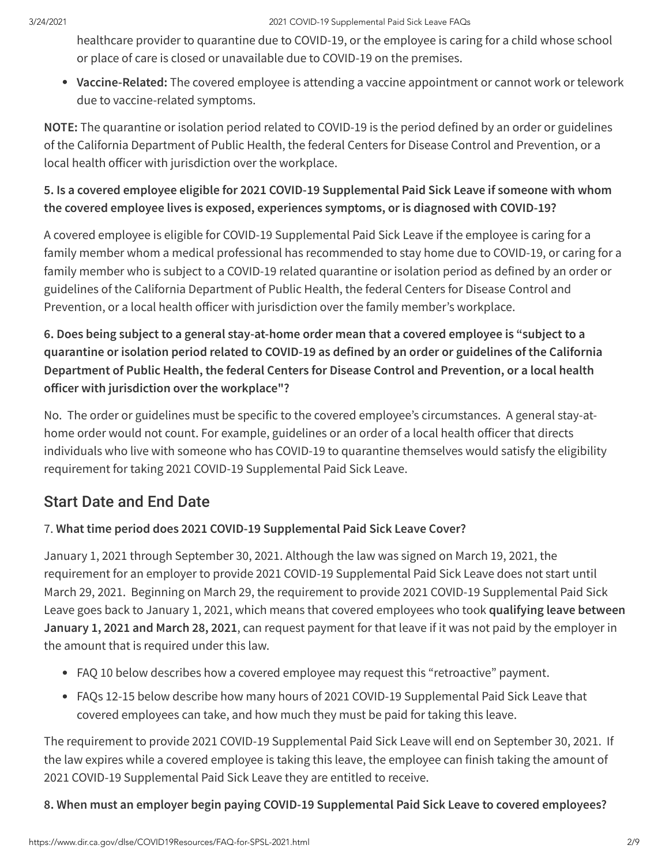healthcare provider to quarantine due to COVID-19, or the employee is caring for a child whose school or place of care is closed or unavailable due to COVID-19 on the premises.

**Vaccine-Related:** The covered employee is attending a vaccine appointment or cannot work or telework due to vaccine-related symptoms.

**NOTE:** The quarantine or isolation period related to COVID-19 is the period defined by an order or guidelines of the California Department of Public Health, the federal Centers for Disease Control and Prevention, or a local health officer with jurisdiction over the workplace.

#### **5. Is a covered employee eligible for 2021 COVID-19 Supplemental Paid Sick Leave if someone with whom the covered employee lives is exposed, experiences symptoms, or is diagnosed with COVID-19?**

A covered employee is eligible for COVID-19 Supplemental Paid Sick Leave if the employee is caring for a family member whom a medical professional has recommended to stay home due to COVID-19, or caring for a family member who is subject to a COVID-19 related quarantine or isolation period as defined by an order or guidelines of the California Department of Public Health, the federal Centers for Disease Control and Prevention, or a local health officer with jurisdiction over the family member's workplace.

## **6. Does being subject to a general stay-at-home order mean that a covered employee is "subject to a quarantine or isolation period related to COVID-19 as defined by an order or guidelines of the California Department of Public Health, the federal Centers for Disease Control and Prevention, or a local health officer** with jurisdiction over the workplace"?

No. The order or guidelines must be specific to the covered employee's circumstances. A general stay-athome order would not count. For example, guidelines or an order of a local health officer that directs individuals who live with someone who has COVID-19 to quarantine themselves would satisfy the eligibility requirement for taking 2021 COVID-19 Supplemental Paid Sick Leave.

## Start Date and End Date

#### 7. **What time period does 2021 COVID-19 Supplemental Paid Sick Leave Cover?**

January 1, 2021 through September 30, 2021. Although the law was signed on March 19, 2021, the requirement for an employer to provide 2021 COVID-19 Supplemental Paid Sick Leave does not start until March 29, 2021. Beginning on March 29, the requirement to provide 2021 COVID-19 Supplemental Paid Sick Leave goes back to January 1, 2021, which means that covered employees who took **qualifying leave between January 1, 2021 and March 28, 2021**, can request payment for that leave if it was not paid by the employer in the amount that is required under this law.

- FAQ 10 below describes how a covered employee may request this "retroactive" payment.
- FAQs 12-15 below describe how many hours of 2021 COVID-19 Supplemental Paid Sick Leave that covered employees can take, and how much they must be paid for taking this leave.

The requirement to provide 2021 COVID-19 Supplemental Paid Sick Leave will end on September 30, 2021. If the law expires while a covered employee is taking this leave, the employee can finish taking the amount of 2021 COVID-19 Supplemental Paid Sick Leave they are entitled to receive.

#### **8. When must an employer begin paying COVID-19 Supplemental Paid Sick Leave to covered employees?**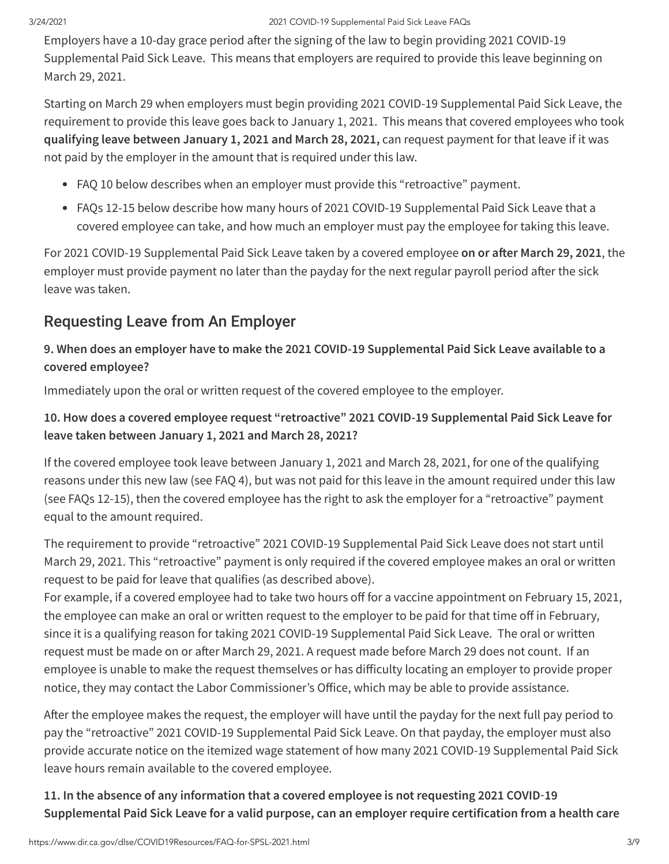Employers have a 10-day grace period after the signing of the law to begin providing 2021 COVID-19 Supplemental Paid Sick Leave. This means that employers are required to provide this leave beginning on March 29, 2021.

Starting on March 29 when employers must begin providing 2021 COVID-19 Supplemental Paid Sick Leave, the requirement to provide this leave goes back to January 1, 2021. This means that covered employees who took **qualifying leave between January 1, 2021 and March 28, 2021,** can request payment for that leave if it was not paid by the employer in the amount that is required under this law.

- FAQ 10 below describes when an employer must provide this "retroactive" payment.
- FAQs 12-15 below describe how many hours of 2021 COVID-19 Supplemental Paid Sick Leave that a covered employee can take, and how much an employer must pay the employee for taking this leave.

For 2021 COVID-19 Supplemental Paid Sick Leave taken by a covered employee on or after March 29, 2021, the employer must provide payment no later than the payday for the next regular payroll period after the sick leave was taken.

## Requesting Leave from An Employer

## **9. When does an employer have to make the 2021 COVID-19 Supplemental Paid Sick Leave available to a covered employee?**

Immediately upon the oral or written request of the covered employee to the employer.

## **10. How does a covered employee request "retroactive" 2021 COVID-19 Supplemental Paid Sick Leave for leave taken between January 1, 2021 and March 28, 2021?**

If the covered employee took leave between January 1, 2021 and March 28, 2021, for one of the qualifying reasons under this new law (see FAQ 4), but was not paid for this leave in the amount required under this law (see FAQs 12-15), then the covered employee has the right to ask the employer for a "retroactive" payment equal to the amount required.

The requirement to provide "retroactive" 2021 COVID-19 Supplemental Paid Sick Leave does not start until March 29, 2021. This "retroactive" payment is only required if the covered employee makes an oral or written request to be paid for leave that qualifies (as described above).

For example, if a covered employee had to take two hours off for a vaccine appointment on February 15, 2021, the employee can make an oral or written request to the employer to be paid for that time off in February, since it is a qualifying reason for taking 2021 COVID-19 Supplemental Paid Sick Leave. The oral or written request must be made on or after March 29, 2021. A request made before March 29 does not count. If an employee is unable to make the request themselves or has difficulty locating an employer to provide proper notice, they may contact the Labor Commissioner's Office, which may be able to provide assistance.

After the employee makes the request, the employer will have until the payday for the next full pay period to pay the "retroactive" 2021 COVID-19 Supplemental Paid Sick Leave. On that payday, the employer must also provide accurate notice on the itemized wage statement of how many 2021 COVID-19 Supplemental Paid Sick leave hours remain available to the covered employee.

## **11. In the absence of any information that a covered employee is not requesting 2021 COVID**‑**19 Supplemental Paid Sick Leave for a valid purpose, can an employer require certification from a health care**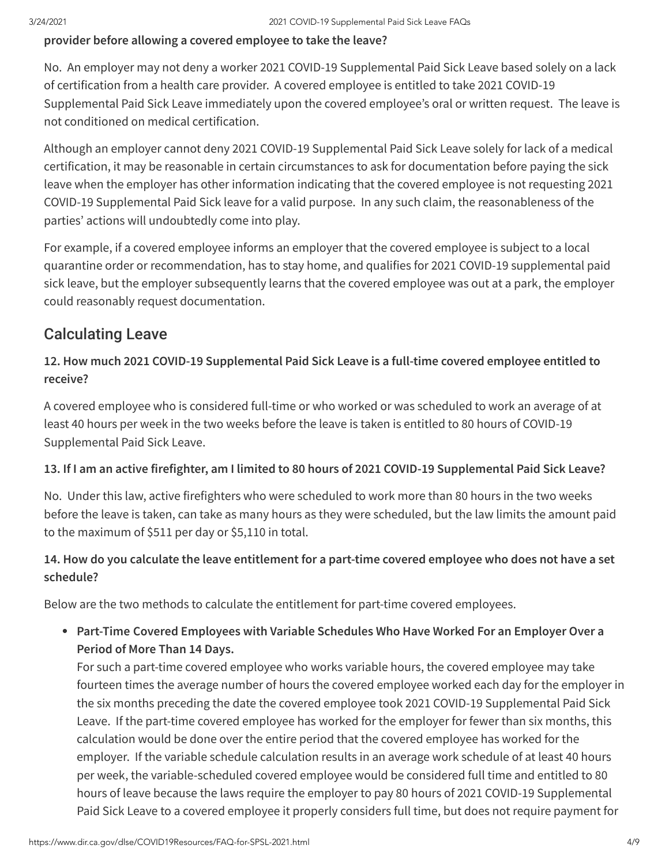#### **provider before allowing a covered employee to take the leave?**

No. An employer may not deny a worker 2021 COVID-19 Supplemental Paid Sick Leave based solely on a lack of certification from a health care provider. A covered employee is entitled to take 2021 COVID-19 Supplemental Paid Sick Leave immediately upon the covered employee's oral or written request. The leave is not conditioned on medical certification.

Although an employer cannot deny 2021 COVID-19 Supplemental Paid Sick Leave solely for lack of a medical certification, it may be reasonable in certain circumstances to ask for documentation before paying the sick leave when the employer has other information indicating that the covered employee is not requesting 2021 COVID-19 Supplemental Paid Sick leave for a valid purpose. In any such claim, the reasonableness of the parties' actions will undoubtedly come into play.

For example, if a covered employee informs an employer that the covered employee is subject to a local quarantine order or recommendation, has to stay home, and qualifies for 2021 COVID-19 supplemental paid sick leave, but the employer subsequently learns that the covered employee was out at a park, the employer could reasonably request documentation.

## Calculating Leave

#### **12. How much 2021 COVID-19 Supplemental Paid Sick Leave is a full-time covered employee entitled to receive?**

A covered employee who is considered full-time or who worked or was scheduled to work an average of at least 40 hours per week in the two weeks before the leave is taken is entitled to 80 hours of COVID-19 Supplemental Paid Sick Leave.

#### 13. If I am an active firefighter, am I limited to 80 hours of 2021 COVID-19 Supplemental Paid Sick Leave?

No. Under this law, active firefighters who were scheduled to work more than 80 hours in the two weeks before the leave is taken, can take as many hours as they were scheduled, but the law limits the amount paid to the maximum of \$511 per day or \$5,110 in total.

#### 14. How do you calculate the leave entitlement for a part-time covered employee who does not have a set **schedule?**

Below are the two methods to calculate the entitlement for part-time covered employees.

#### **Part-Time Covered Employees with Variable Schedules Who Have Worked For an Employer Over a Period of More Than 14 Days.**

For such a part-time covered employee who works variable hours, the covered employee may take fourteen times the average number of hours the covered employee worked each day for the employer in the six months preceding the date the covered employee took 2021 COVID-19 Supplemental Paid Sick Leave. If the part-time covered employee has worked for the employer for fewer than six months, this calculation would be done over the entire period that the covered employee has worked for the employer. If the variable schedule calculation results in an average work schedule of at least 40 hours per week, the variable-scheduled covered employee would be considered full time and entitled to 80 hours of leave because the laws require the employer to pay 80 hours of 2021 COVID-19 Supplemental Paid Sick Leave to a covered employee it properly considers full time, but does not require payment for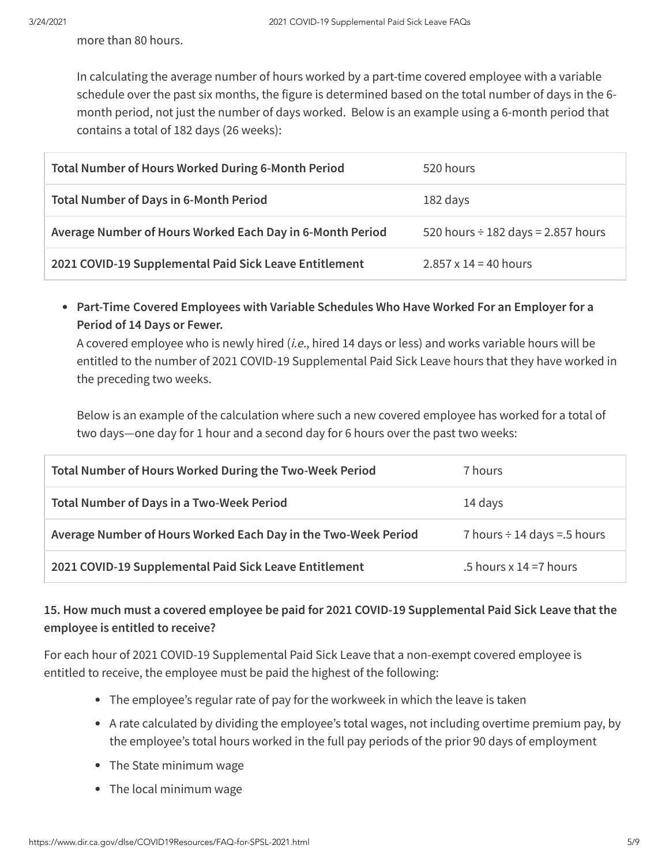more than 80 hours.

In calculating the average number of hours worked by a part-time covered employee with a variable schedule over the past six months, the figure is determined based on the total number of days in the 6 month period, not just the number of days worked. Below is an example using a 6-month period that contains a total of 182 days (26 weeks):

| <b>Total Number of Hours Worked During 6-Month Period</b> | 520 hours                               |
|-----------------------------------------------------------|-----------------------------------------|
| <b>Total Number of Days in 6-Month Period</b>             | 182 days                                |
| Average Number of Hours Worked Each Day in 6-Month Period | 520 hours $\div$ 182 days = 2.857 hours |
| 2021 COVID-19 Supplemental Paid Sick Leave Entitlement    | $2.857 \times 14 = 40$ hours            |

**Part-Time Covered Employees with Variable Schedules Who Have Worked For an Employer for a Period of 14 Days or Fewer.**

A covered employee who is newly hired (i.e., hired 14 days or less) and works variable hours will be entitled to the number of 2021 COVID-19 Supplemental Paid Sick Leave hours that they have worked in the preceding two weeks.

Below is an example of the calculation where such a new covered employee has worked for a total of two days—one day for 1 hour and a second day for 6 hours over the past two weeks:

| Total Number of Hours Worked During the Two-Week Period        | 7 hours                          |
|----------------------------------------------------------------|----------------------------------|
| <b>Total Number of Days in a Two-Week Period</b>               | 14 days                          |
| Average Number of Hours Worked Each Day in the Two-Week Period | 7 hours $\div$ 14 days = 5 hours |
| 2021 COVID-19 Supplemental Paid Sick Leave Entitlement         | .5 hours $x = 14 = 7$ hours      |

#### **15. How much must a covered employee be paid for 2021 COVID-19 Supplemental Paid Sick Leave that the employee is entitled to receive?**

For each hour of 2021 COVID-19 Supplemental Paid Sick Leave that a non-exempt covered employee is entitled to receive, the employee must be paid the highest of the following:

- The employee's regular rate of pay for the workweek in which the leave is taken
- A rate calculated by dividing the employee's total wages, not including overtime premium pay, by the employee's total hours worked in the full pay periods of the prior 90 days of employment
- The State minimum wage
- The local minimum wage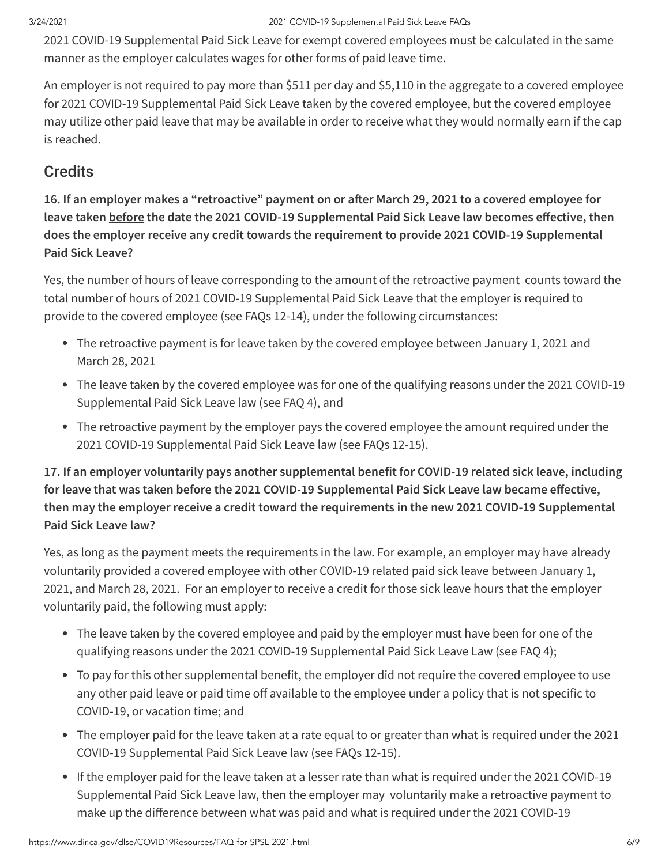2021 COVID-19 Supplemental Paid Sick Leave for exempt covered employees must be calculated in the same manner as the employer calculates wages for other forms of paid leave time.

An employer is not required to pay more than \$511 per day and \$5,110 in the aggregate to a covered employee for 2021 COVID-19 Supplemental Paid Sick Leave taken by the covered employee, but the covered employee may utilize other paid leave that may be available in order to receive what they would normally earn if the cap is reached.

## **Credits**

16. If an employer makes a "retroactive" payment on or after March 29, 2021 to a covered employee for **leave taken before** the date the 2021 COVID-19 Supplemental Paid Sick Leave law becomes effective, then **does the employer receive any credit towards the requirement to provide 2021 COVID-19 Supplemental Paid Sick Leave?**

Yes, the number of hours of leave corresponding to the amount of the retroactive payment counts toward the total number of hours of 2021 COVID-19 Supplemental Paid Sick Leave that the employer is required to provide to the covered employee (see FAQs 12-14), under the following circumstances:

- The retroactive payment is for leave taken by the covered employee between January 1, 2021 and March 28, 2021
- The leave taken by the covered employee was for one of the qualifying reasons under the 2021 COVID-19 Supplemental Paid Sick Leave law (see FAQ 4), and
- The retroactive payment by the employer pays the covered employee the amount required under the 2021 COVID-19 Supplemental Paid Sick Leave law (see FAQs 12-15).

**17. If an employer voluntarily pays another supplemental benefit for COVID-19 related sick leave, including for leave that was taken before the 2021 COVID-19 Supplemental Paid Sick Leave law became eective, then may the employer receive a credit toward the requirements in the new 2021 COVID-19 Supplemental Paid Sick Leave law?**

Yes, as long as the payment meets the requirements in the law. For example, an employer may have already voluntarily provided a covered employee with other COVID-19 related paid sick leave between January 1, 2021, and March 28, 2021. For an employer to receive a credit for those sick leave hours that the employer voluntarily paid, the following must apply:

- The leave taken by the covered employee and paid by the employer must have been for one of the qualifying reasons under the 2021 COVID-19 Supplemental Paid Sick Leave Law (see FAQ 4);
- To pay for this other supplemental benefit, the employer did not require the covered employee to use any other paid leave or paid time off available to the employee under a policy that is not specific to COVID-19, or vacation time; and
- The employer paid for the leave taken at a rate equal to or greater than what is required under the 2021 COVID-19 Supplemental Paid Sick Leave law (see FAQs 12-15).
- If the employer paid for the leave taken at a lesser rate than what is required under the 2021 COVID-19 Supplemental Paid Sick Leave law, then the employer may voluntarily make a retroactive payment to make up the difference between what was paid and what is required under the 2021 COVID-19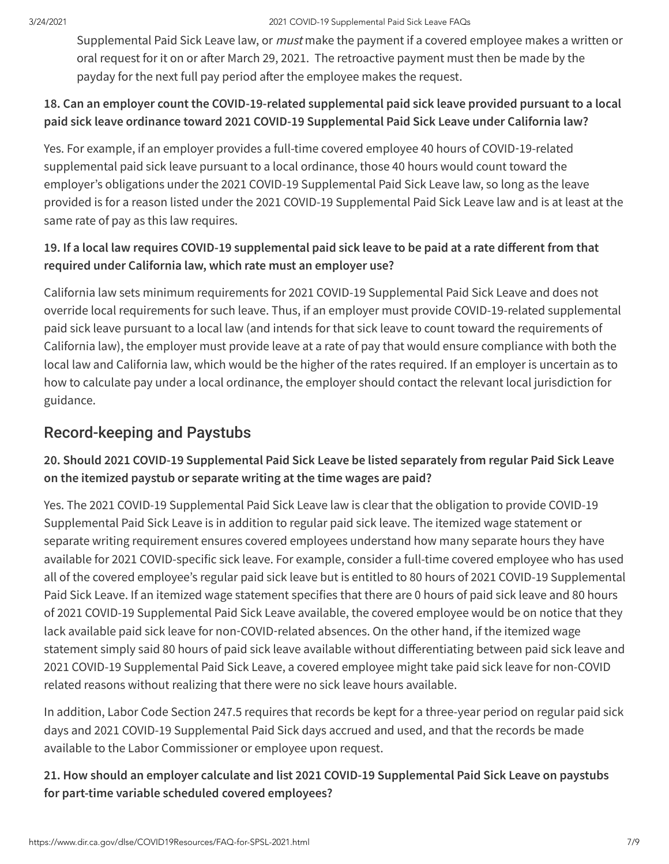#### 3/24/2021 2021 COVID-19 Supplemental Paid Sick Leave FAQs

Supplemental Paid Sick Leave law, or *must* make the payment if a covered employee makes a written or oral request for it on or after March 29, 2021. The retroactive payment must then be made by the payday for the next full pay period after the employee makes the request.

#### **18. Can an employer count the COVID-19-related supplemental paid sick leave provided pursuant to a local paid sick leave ordinance toward 2021 COVID-19 Supplemental Paid Sick Leave under California law?**

Yes. For example, if an employer provides a full-time covered employee 40 hours of COVID‑19-related supplemental paid sick leave pursuant to a local ordinance, those 40 hours would count toward the employer's obligations under the 2021 COVID-19 Supplemental Paid Sick Leave law, so long as the leave provided is for a reason listed under the 2021 COVID-19 Supplemental Paid Sick Leave law and is at least at the same rate of pay as this law requires.

#### 19. If a local law requires COVID-19 supplemental paid sick leave to be paid at a rate different from that **required under California law, which rate must an employer use?**

California law sets minimum requirements for 2021 COVID-19 Supplemental Paid Sick Leave and does not override local requirements for such leave. Thus, if an employer must provide COVID-19-related supplemental paid sick leave pursuant to a local law (and intends for that sick leave to count toward the requirements of California law), the employer must provide leave at a rate of pay that would ensure compliance with both the local law and California law, which would be the higher of the rates required. If an employer is uncertain as to how to calculate pay under a local ordinance, the employer should contact the relevant local jurisdiction for guidance.

## Record-keeping and Paystubs

## **20. Should 2021 COVID-19 Supplemental Paid Sick Leave be listed separately from regular Paid Sick Leave on the itemized paystub or separate writing at the time wages are paid?**

Yes. The 2021 COVID-19 Supplemental Paid Sick Leave law is clear that the obligation to provide COVID-19 Supplemental Paid Sick Leave is in addition to regular paid sick leave. The itemized wage statement or separate writing requirement ensures covered employees understand how many separate hours they have available for 2021 COVID-specific sick leave. For example, consider a full-time covered employee who has used all of the covered employee's regular paid sick leave but is entitled to 80 hours of 2021 COVID-19 Supplemental Paid Sick Leave. If an itemized wage statement specifies that there are 0 hours of paid sick leave and 80 hours of 2021 COVID-19 Supplemental Paid Sick Leave available, the covered employee would be on notice that they lack available paid sick leave for non-COVID-related absences. On the other hand, if the itemized wage statement simply said 80 hours of paid sick leave available without differentiating between paid sick leave and 2021 COVID-19 Supplemental Paid Sick Leave, a covered employee might take paid sick leave for non-COVID related reasons without realizing that there were no sick leave hours available.

In addition, Labor Code Section 247.5 requires that records be kept for a three-year period on regular paid sick days and 2021 COVID-19 Supplemental Paid Sick days accrued and used, and that the records be made available to the Labor Commissioner or employee upon request.

#### **21. How should an employer calculate and list 2021 COVID-19 Supplemental Paid Sick Leave on paystubs for part-time variable scheduled covered employees?**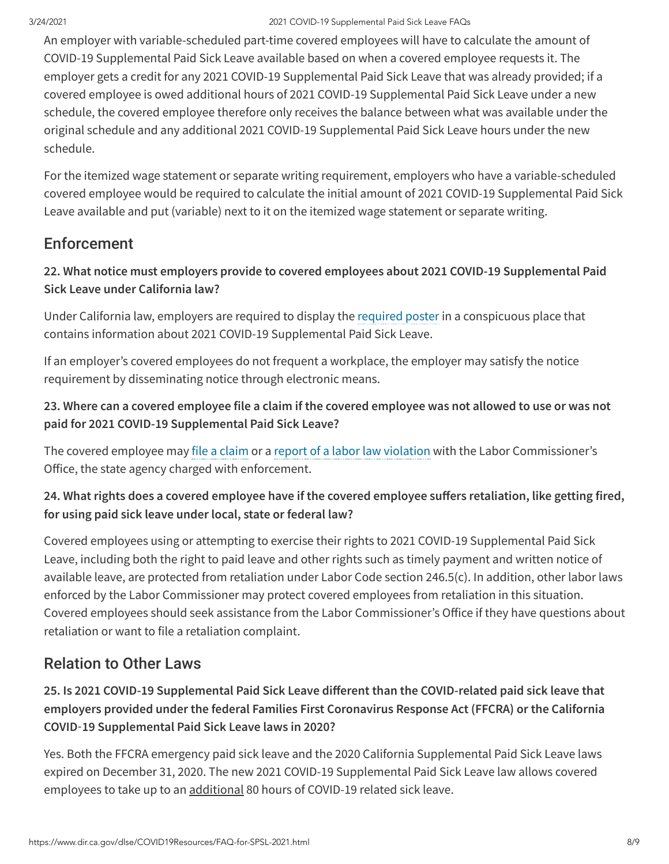#### 3/24/2021 2021 COVID-19 Supplemental Paid Sick Leave FAQs

An employer with variable-scheduled part-time covered employees will have to calculate the amount of COVID-19 Supplemental Paid Sick Leave available based on when a covered employee requests it. The employer gets a credit for any 2021 COVID-19 Supplemental Paid Sick Leave that was already provided; if a covered employee is owed additional hours of 2021 COVID-19 Supplemental Paid Sick Leave under a new schedule, the covered employee therefore only receives the balance between what was available under the original schedule and any additional 2021 COVID-19 Supplemental Paid Sick Leave hours under the new schedule.

For the itemized wage statement or separate writing requirement, employers who have a variable-scheduled covered employee would be required to calculate the initial amount of 2021 COVID-19 Supplemental Paid Sick Leave available and put (variable) next to it on the itemized wage statement or separate writing.

## **Enforcement**

#### **22. What notice must employers provide to covered employees about 2021 COVID-19 Supplemental Paid Sick Leave under California law?**

Under California law, employers are required to display the [required](https://www.dir.ca.gov/dlse/2021-COVID-19-Supplemental-Paid-Sick-Leave.pdf) poster in a conspicuous place that contains information about 2021 COVID-19 Supplemental Paid Sick Leave.

If an employer's covered employees do not frequent a workplace, the employer may satisfy the notice requirement by disseminating notice through electronic means.

#### 23. Where can a covered employee file a claim if the covered employee was not allowed to use or was not **paid for 2021 COVID-19 Supplemental Paid Sick Leave?**

The covered employee may file a [claim](https://www.dir.ca.gov/dlse/HowToFileWageClaim.htm) or a report of a labor law [violation](https://www.dir.ca.gov/dlse/HowToReportViolationtoBOFE.htm) with the Labor Commissioner's Office, the state agency charged with enforcement.

## **24. What rights does a covered employee have if the covered employee suers retaliation, like getting fired, for using paid sick leave under local, state or federal law?**

Covered employees using or attempting to exercise their rights to 2021 COVID-19 Supplemental Paid Sick Leave, including both the right to paid leave and other rights such as timely payment and written notice of available leave, are protected from retaliation under Labor Code section 246.5(c). In addition, other labor laws enforced by the Labor Commissioner may protect covered employees from retaliation in this situation. Covered employees should seek assistance from the Labor Commissioner's Office if they have questions about retaliation or want to file a retaliation complaint.

## Relation to Other Laws

**25. Is 2021 COVID-19 Supplemental Paid Sick Leave dierent than the COVID-related paid sick leave that employers provided under the federal Families First Coronavirus Response Act (FFCRA) or the California COVID**‑**19 Supplemental Paid Sick Leave laws in 2020?**

Yes. Both the FFCRA emergency paid sick leave and the 2020 California Supplemental Paid Sick Leave laws expired on December 31, 2020. The new 2021 COVID-19 Supplemental Paid Sick Leave law allows covered employees to take up to an additional 80 hours of COVID-19 related sick leave.